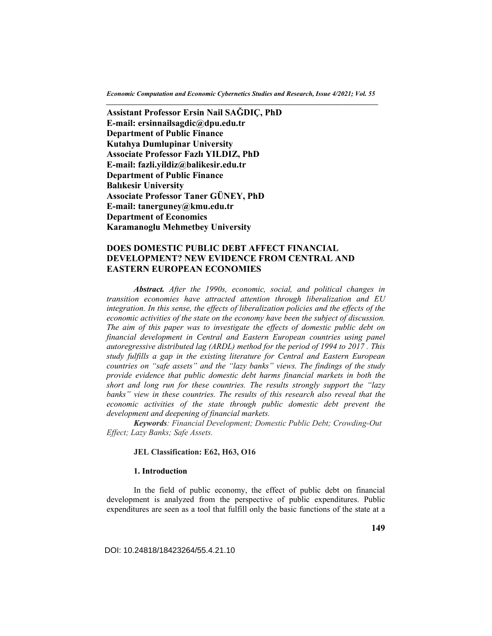*Economic Computation and Economic Cybernetics Studies and Research, Issue 4/2021; Vol. 55 \_\_\_\_\_\_\_\_\_\_\_\_\_\_\_\_\_\_\_\_\_\_\_\_\_\_\_\_\_\_\_\_\_\_\_\_\_\_\_\_\_\_\_\_\_\_\_\_\_\_\_\_\_\_\_\_\_\_\_\_\_\_\_\_\_\_\_\_\_\_\_\_\_\_\_\_\_\_\_\_* 

**Assistant Professor Ersin Nail SAĞDIÇ, PhD E-mail: ersinnailsagdic@dpu.edu.tr Department of Public Finance Kutahya Dumlupinar University Associate Professor Fazlı YILDIZ, PhD E-mail: fazli.yildiz@balikesir.edu.tr Department of Public Finance Balıkesir University Associate Professor Taner GÜNEY, PhD E-mail: tanerguney@kmu.edu.tr Department of Economics Karamanoglu Mehmetbey University** 

# **DOES DOMESTIC PUBLIC DEBT AFFECT FINANCIAL DEVELOPMENT? NEW EVIDENCE FROM CENTRAL AND EASTERN EUROPEAN ECONOMIES**

*Abstract. After the 1990s, economic, social, and political changes in transition economies have attracted attention through liberalization and EU integration. In this sense, the effects of liberalization policies and the effects of the economic activities of the state on the economy have been the subject of discussion. The aim of this paper was to investigate the effects of domestic public debt on financial development in Central and Eastern European countries using panel autoregressive distributed lag (ARDL) method for the period of 1994 to 2017 . This study fulfills a gap in the existing literature for Central and Eastern European countries on "safe assets" and the "lazy banks" views. The findings of the study provide evidence that public domestic debt harms financial markets in both the short and long run for these countries. The results strongly support the "lazy*  banks" view in these countries. The results of this research also reveal that the *economic activities of the state through public domestic debt prevent the development and deepening of financial markets.* 

*Keywords: Financial Development; Domestic Public Debt; Crowding-Out Effect; Lazy Banks; Safe Assets.* 

### **JEL Classification: E62, H63, O16**

#### **1. Introduction**

In the field of public economy, the effect of public debt on financial development is analyzed from the perspective of public expenditures. Public expenditures are seen as a tool that fulfill only the basic functions of the state at a

DOI: 10.24818/18423264/55.4.21.10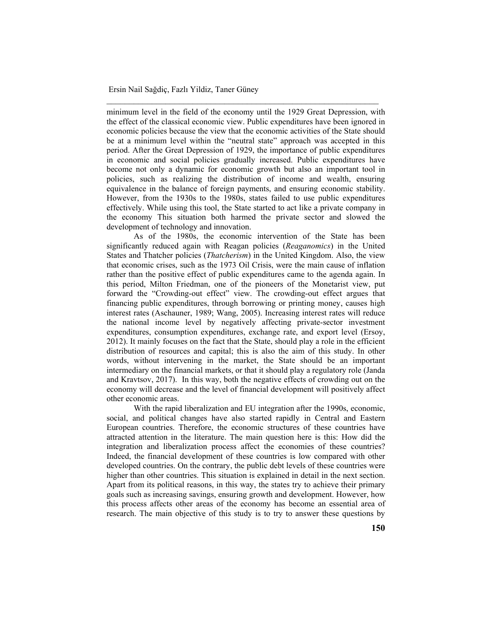minimum level in the field of the economy until the 1929 Great Depression, with the effect of the classical economic view. Public expenditures have been ignored in economic policies because the view that the economic activities of the State should be at a minimum level within the "neutral state" approach was accepted in this period. After the Great Depression of 1929, the importance of public expenditures in economic and social policies gradually increased. Public expenditures have become not only a dynamic for economic growth but also an important tool in policies, such as realizing the distribution of income and wealth, ensuring equivalence in the balance of foreign payments, and ensuring economic stability. However, from the 1930s to the 1980s, states failed to use public expenditures effectively. While using this tool, the State started to act like a private company in the economy This situation both harmed the private sector and slowed the development of technology and innovation.

\_\_\_\_\_\_\_\_\_\_\_\_\_\_\_\_\_\_\_\_\_\_\_\_\_\_\_\_\_\_\_\_\_\_\_\_\_\_\_\_\_\_\_\_\_\_\_\_\_\_\_\_\_\_\_\_\_\_\_\_

As of the 1980s, the economic intervention of the State has been significantly reduced again with Reagan policies (*Reaganomics*) in the United States and Thatcher policies (*Thatcherism*) in the United Kingdom. Also, the view that economic crises, such as the 1973 Oil Crisis, were the main cause of inflation rather than the positive effect of public expenditures came to the agenda again. In this period, Milton Friedman, one of the pioneers of the Monetarist view, put forward the "Crowding-out effect" view. The crowding-out effect argues that financing public expenditures, through borrowing or printing money, causes high interest rates (Aschauner, 1989; Wang, 2005). Increasing interest rates will reduce the national income level by negatively affecting private-sector investment expenditures, consumption expenditures, exchange rate, and export level (Ersoy, 2012). It mainly focuses on the fact that the State, should play a role in the efficient distribution of resources and capital; this is also the aim of this study. In other words, without intervening in the market, the State should be an important intermediary on the financial markets, or that it should play a regulatory role (Janda and Kravtsov, 2017). In this way, both the negative effects of crowding out on the economy will decrease and the level of financial development will positively affect other economic areas.

With the rapid liberalization and EU integration after the 1990s, economic, social, and political changes have also started rapidly in Central and Eastern European countries. Therefore, the economic structures of these countries have attracted attention in the literature. The main question here is this: How did the integration and liberalization process affect the economies of these countries? Indeed, the financial development of these countries is low compared with other developed countries. On the contrary, the public debt levels of these countries were higher than other countries. This situation is explained in detail in the next section. Apart from its political reasons, in this way, the states try to achieve their primary goals such as increasing savings, ensuring growth and development. However, how this process affects other areas of the economy has become an essential area of research. The main objective of this study is to try to answer these questions by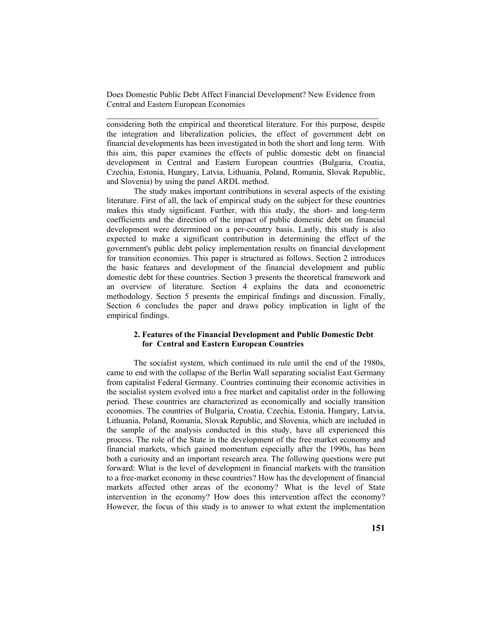considering both the empirical and theoretical literature. For this purpose, despite the integration and liberalization policies, the effect of government debt on financial developments has been investigated in both the short and long term. With this aim, this paper examines the effects of public domestic debt on financial development in Central and Eastern European countries (Bulgaria, Croatia, Czechia, Estonia, Hungary, Latvia, Lithuania, Poland, Romania, Slovak Republic, and Slovenia) by using the panel ARDL method.

The study makes important contributions in several aspects of the existing literature. First of all, the lack of empirical study on the subject for these countries makes this study significant. Further, with this study, the short- and long-term coefficients and the direction of the impact of public domestic debt on financial development were determined on a per-country basis. Lastly, this study is also expected to make a significant contribution in determining the effect of the government's public debt policy implementation results on financial development for transition economies. This paper is structured as follows. Section 2 introduces the basic features and development of the financial development and public domestic debt for these countries. Section 3 presents the theoretical framework and an overview of literature. Section 4 explains the data and econometric methodology. Section 5 presents the empirical findings and discussion. Finally, Section 6 concludes the paper and draws policy implication in light of the empirical findings.

# **2. Features of the Financial Development and Public Domestic Debt for Central and Eastern European Countries**

The socialist system, which continued its rule until the end of the 1980s, came to end with the collapse of the Berlin Wall separating socialist East Germany from capitalist Federal Germany. Countries continuing their economic activities in the socialist system evolved into a free market and capitalist order in the following period. These countries are characterized as economically and socially transition economies. The countries of Bulgaria, Croatia, Czechia, Estonia, Hungary, Latvia, Lithuania, Poland, Romania, Slovak Republic, and Slovenia, which are included in the sample of the analysis conducted in this study, have all experienced this process. The role of the State in the development of the free market economy and financial markets, which gained momentum especially after the 1990s, has been both a curiosity and an important research area. The following questions were put forward: What is the level of development in financial markets with the transition to a free-market economy in these countries? How has the development of financial markets affected other areas of the economy? What is the level of State intervention in the economy? How does this intervention affect the economy? However, the focus of this study is to answer to what extent the implementation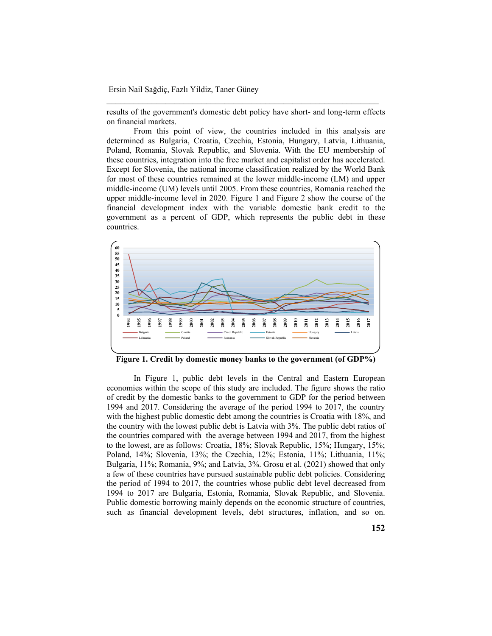results of the government's domestic debt policy have short- and long-term effects on financial markets.

\_\_\_\_\_\_\_\_\_\_\_\_\_\_\_\_\_\_\_\_\_\_\_\_\_\_\_\_\_\_\_\_\_\_\_\_\_\_\_\_\_\_\_\_\_\_\_\_\_\_\_\_\_\_\_\_\_\_\_\_

From this point of view, the countries included in this analysis are determined as Bulgaria, Croatia, Czechia, Estonia, Hungary, Latvia, Lithuania, Poland, Romania, Slovak Republic, and Slovenia. With the EU membership of these countries, integration into the free market and capitalist order has accelerated. Except for Slovenia, the national income classification realized by the World Bank for most of these countries remained at the lower middle-income (LM) and upper middle-income (UM) levels until 2005. From these countries, Romania reached the upper middle-income level in 2020. Figure 1 and Figure 2 show the course of the financial development index with the variable domestic bank credit to the government as a percent of GDP, which represents the public debt in these countries.



**Figure 1. Credit by domestic money banks to the government (of GDP%)** 

In Figure 1, public debt levels in the Central and Eastern European economies within the scope of this study are included. The figure shows the ratio of credit by the domestic banks to the government to GDP for the period between 1994 and 2017. Considering the average of the period 1994 to 2017, the country with the highest public domestic debt among the countries is Croatia with 18%, and the country with the lowest public debt is Latvia with 3%. The public debt ratios of the countries compared with the average between 1994 and 2017, from the highest to the lowest, are as follows: Croatia, 18%; Slovak Republic, 15%; Hungary, 15%; Poland, 14%; Slovenia, 13%; the Czechia, 12%; Estonia, 11%; Lithuania, 11%; Bulgaria, 11%; Romania, 9%; and Latvia, 3%. Grosu et al. (2021) showed that only a few of these countries have pursued sustainable public debt policies. Considering the period of 1994 to 2017, the countries whose public debt level decreased from 1994 to 2017 are Bulgaria, Estonia, Romania, Slovak Republic, and Slovenia. Public domestic borrowing mainly depends on the economic structure of countries, such as financial development levels, debt structures, inflation, and so on.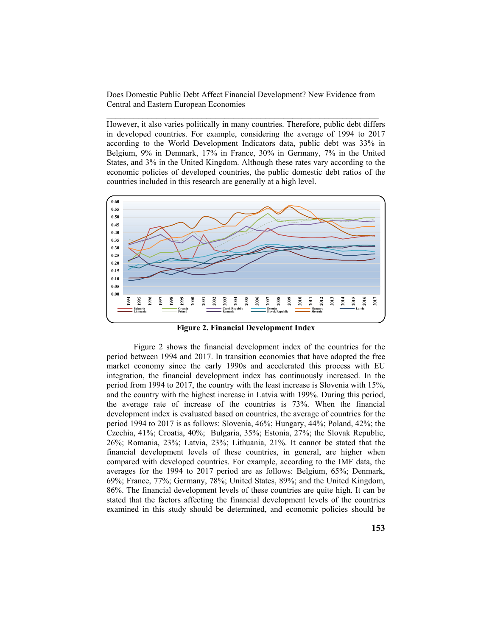However, it also varies politically in many countries. Therefore, public debt differs in developed countries. For example, considering the average of 1994 to 2017 according to the World Development Indicators data, public debt was 33% in Belgium, 9% in Denmark, 17% in France, 30% in Germany, 7% in the United States, and 3% in the United Kingdom. Although these rates vary according to the economic policies of developed countries, the public domestic debt ratios of the countries included in this research are generally at a high level.



**Figure 2. Financial Development Index**

Figure 2 shows the financial development index of the countries for the period between 1994 and 2017. In transition economies that have adopted the free market economy since the early 1990s and accelerated this process with EU integration, the financial development index has continuously increased. In the period from 1994 to 2017, the country with the least increase is Slovenia with 15%, and the country with the highest increase in Latvia with 199%. During this period, the average rate of increase of the countries is 73%. When the financial development index is evaluated based on countries, the average of countries for the period 1994 to 2017 is as follows: Slovenia, 46%; Hungary, 44%; Poland, 42%; the Czechia, 41%; Croatia, 40%; Bulgaria, 35%; Estonia, 27%; the Slovak Republic, 26%; Romania, 23%; Latvia, 23%; Lithuania, 21%. It cannot be stated that the financial development levels of these countries, in general, are higher when compared with developed countries. For example, according to the IMF data, the averages for the 1994 to 2017 period are as follows: Belgium, 65%; Denmark, 69%; France, 77%; Germany, 78%; United States, 89%; and the United Kingdom, 86%. The financial development levels of these countries are quite high. It can be stated that the factors affecting the financial development levels of the countries examined in this study should be determined, and economic policies should be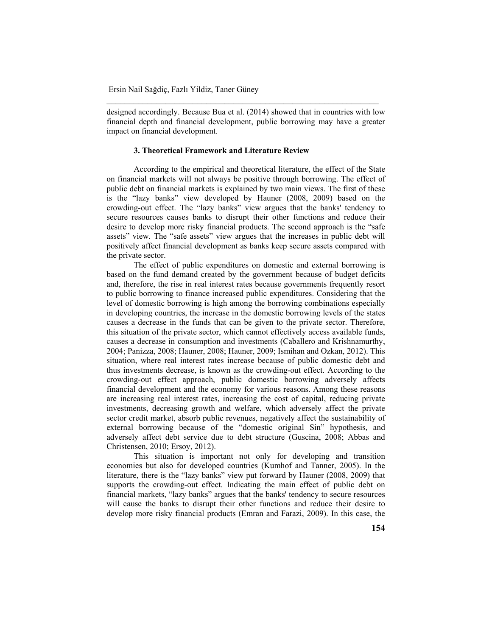designed accordingly. Because Bua et al. (2014) showed that in countries with low financial depth and financial development, public borrowing may have a greater impact on financial development.

\_\_\_\_\_\_\_\_\_\_\_\_\_\_\_\_\_\_\_\_\_\_\_\_\_\_\_\_\_\_\_\_\_\_\_\_\_\_\_\_\_\_\_\_\_\_\_\_\_\_\_\_\_\_\_\_\_\_\_\_

# **3. Theoretical Framework and Literature Review**

According to the empirical and theoretical literature, the effect of the State on financial markets will not always be positive through borrowing. The effect of public debt on financial markets is explained by two main views. The first of these is the "lazy banks" view developed by Hauner (2008, 2009) based on the crowding-out effect. The "lazy banks" view argues that the banks' tendency to secure resources causes banks to disrupt their other functions and reduce their desire to develop more risky financial products. The second approach is the "safe assets" view. The "safe assets" view argues that the increases in public debt will positively affect financial development as banks keep secure assets compared with the private sector.

The effect of public expenditures on domestic and external borrowing is based on the fund demand created by the government because of budget deficits and, therefore, the rise in real interest rates because governments frequently resort to public borrowing to finance increased public expenditures. Considering that the level of domestic borrowing is high among the borrowing combinations especially in developing countries, the increase in the domestic borrowing levels of the states causes a decrease in the funds that can be given to the private sector. Therefore, this situation of the private sector, which cannot effectively access available funds, causes a decrease in consumption and investments (Caballero and Krishnamurthy, 2004; Panizza, 2008; Hauner, 2008; Hauner, 2009; Ismihan and Ozkan, 2012). This situation, where real interest rates increase because of public domestic debt and thus investments decrease, is known as the crowding-out effect. According to the crowding-out effect approach, public domestic borrowing adversely affects financial development and the economy for various reasons. Among these reasons are increasing real interest rates, increasing the cost of capital, reducing private investments, decreasing growth and welfare, which adversely affect the private sector credit market, absorb public revenues, negatively affect the sustainability of external borrowing because of the "domestic original Sin" hypothesis, and adversely affect debt service due to debt structure (Guscina, 2008; Abbas and Christensen, 2010; Ersoy, 2012).

This situation is important not only for developing and transition economies but also for developed countries (Kumhof and Tanner, 2005). In the literature, there is the "lazy banks" view put forward by Hauner (2008, 2009) that supports the crowding-out effect. Indicating the main effect of public debt on financial markets, "lazy banks" argues that the banks' tendency to secure resources will cause the banks to disrupt their other functions and reduce their desire to develop more risky financial products (Emran and Farazi, 2009). In this case, the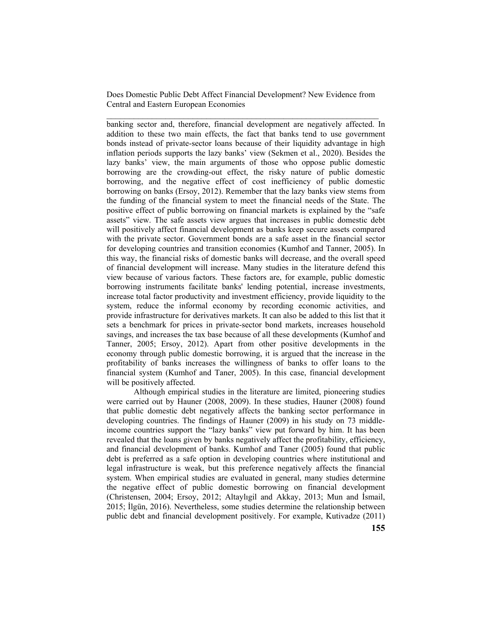banking sector and, therefore, financial development are negatively affected. In addition to these two main effects, the fact that banks tend to use government bonds instead of private-sector loans because of their liquidity advantage in high inflation periods supports the lazy banks' view (Sekmen et al., 2020). Besides the lazy banks' view, the main arguments of those who oppose public domestic borrowing are the crowding-out effect, the risky nature of public domestic borrowing, and the negative effect of cost inefficiency of public domestic borrowing on banks (Ersoy, 2012). Remember that the lazy banks view stems from the funding of the financial system to meet the financial needs of the State. The positive effect of public borrowing on financial markets is explained by the "safe assets" view. The safe assets view argues that increases in public domestic debt will positively affect financial development as banks keep secure assets compared with the private sector. Government bonds are a safe asset in the financial sector for developing countries and transition economies (Kumhof and Tanner, 2005). In this way, the financial risks of domestic banks will decrease, and the overall speed of financial development will increase. Many studies in the literature defend this view because of various factors. These factors are, for example, public domestic borrowing instruments facilitate banks' lending potential, increase investments, increase total factor productivity and investment efficiency, provide liquidity to the system, reduce the informal economy by recording economic activities, and provide infrastructure for derivatives markets. It can also be added to this list that it sets a benchmark for prices in private-sector bond markets, increases household savings, and increases the tax base because of all these developments (Kumhof and Tanner, 2005; Ersoy, 2012). Apart from other positive developments in the economy through public domestic borrowing, it is argued that the increase in the profitability of banks increases the willingness of banks to offer loans to the financial system (Kumhof and Taner, 2005). In this case, financial development will be positively affected.

Although empirical studies in the literature are limited, pioneering studies were carried out by Hauner (2008, 2009). In these studies, Hauner (2008) found that public domestic debt negatively affects the banking sector performance in developing countries. The findings of Hauner (2009) in his study on 73 middleincome countries support the "lazy banks" view put forward by him. It has been revealed that the loans given by banks negatively affect the profitability, efficiency, and financial development of banks. Kumhof and Taner (2005) found that public debt is preferred as a safe option in developing countries where institutional and legal infrastructure is weak, but this preference negatively affects the financial system. When empirical studies are evaluated in general, many studies determine the negative effect of public domestic borrowing on financial development (Christensen, 2004; Ersoy, 2012; Altaylıgil and Akkay, 2013; Mun and İsmail, 2015; İlgün, 2016). Nevertheless, some studies determine the relationship between public debt and financial development positively. For example, Kutivadze (2011)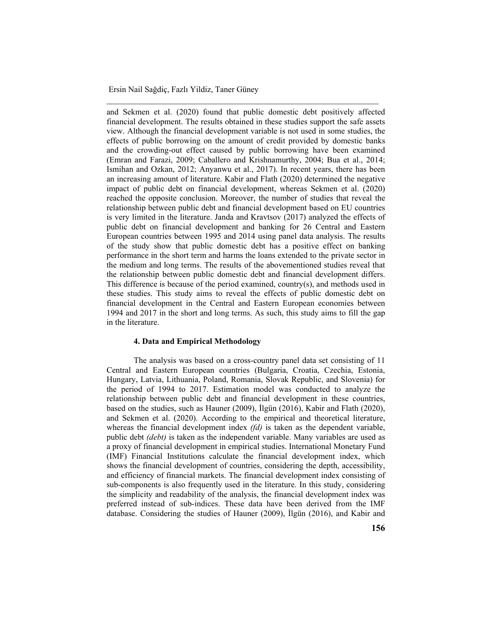and Sekmen et al. (2020) found that public domestic debt positively affected financial development. The results obtained in these studies support the safe assets view. Although the financial development variable is not used in some studies, the effects of public borrowing on the amount of credit provided by domestic banks and the crowding-out effect caused by public borrowing have been examined (Emran and Farazi, 2009; Caballero and Krishnamurthy, 2004; Bua et al., 2014; Ismihan and Ozkan, 2012; Anyanwu et al., 2017). In recent years, there has been an increasing amount of literature. Kabir and Flath (2020) determined the negative impact of public debt on financial development, whereas Sekmen et al. (2020) reached the opposite conclusion. Moreover, the number of studies that reveal the relationship between public debt and financial development based on EU countries is very limited in the literature. Janda and Kravtsov (2017) analyzed the effects of public debt on financial development and banking for 26 Central and Eastern European countries between 1995 and 2014 using panel data analysis. The results of the study show that public domestic debt has a positive effect on banking performance in the short term and harms the loans extended to the private sector in the medium and long terms. The results of the abovementioned studies reveal that the relationship between public domestic debt and financial development differs. This difference is because of the period examined, country(s), and methods used in these studies. This study aims to reveal the effects of public domestic debt on financial development in the Central and Eastern European economies between 1994 and 2017 in the short and long terms. As such, this study aims to fill the gap in the literature.

\_\_\_\_\_\_\_\_\_\_\_\_\_\_\_\_\_\_\_\_\_\_\_\_\_\_\_\_\_\_\_\_\_\_\_\_\_\_\_\_\_\_\_\_\_\_\_\_\_\_\_\_\_\_\_\_\_\_\_\_

#### **4. Data and Empirical Methodology**

The analysis was based on a cross-country panel data set consisting of 11 Central and Eastern European countries (Bulgaria, Croatia, Czechia, Estonia, Hungary, Latvia, Lithuania, Poland, Romania, Slovak Republic, and Slovenia) for the period of 1994 to 2017. Estimation model was conducted to analyze the relationship between public debt and financial development in these countries, based on the studies, such as Hauner (2009), İlgün (2016), Kabir and Flath (2020), and Sekmen et al. (2020). According to the empirical and theoretical literature, whereas the financial development index *(fd)* is taken as the dependent variable, public debt *(debt)* is taken as the independent variable. Many variables are used as a proxy of financial development in empirical studies. International Monetary Fund (IMF) Financial Institutions calculate the financial development index, which shows the financial development of countries, considering the depth, accessibility, and efficiency of financial markets. The financial development index consisting of sub-components is also frequently used in the literature. In this study, considering the simplicity and readability of the analysis, the financial development index was preferred instead of sub-indices. These data have been derived from the IMF database. Considering the studies of Hauner (2009), İlgün (2016), and Kabir and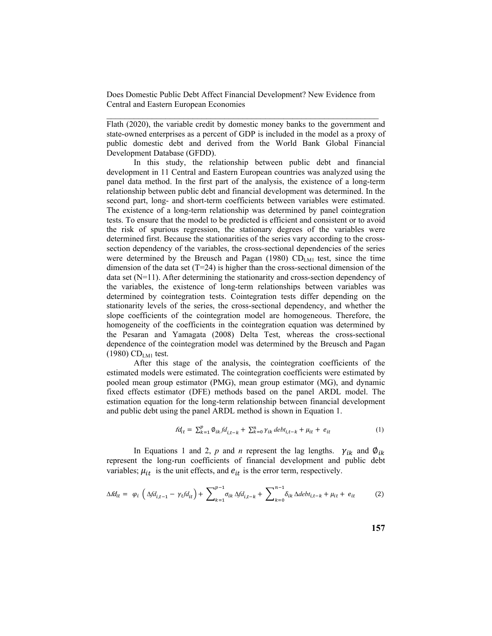Flath (2020), the variable credit by domestic money banks to the government and state-owned enterprises as a percent of GDP is included in the model as a proxy of public domestic debt and derived from the World Bank Global Financial Development Database (GFDD).

In this study, the relationship between public debt and financial development in 11 Central and Eastern European countries was analyzed using the panel data method. In the first part of the analysis, the existence of a long-term relationship between public debt and financial development was determined. In the second part, long- and short-term coefficients between variables were estimated. The existence of a long-term relationship was determined by panel cointegration tests. To ensure that the model to be predicted is efficient and consistent or to avoid the risk of spurious regression, the stationary degrees of the variables were determined first. Because the stationarities of the series vary according to the crosssection dependency of the variables, the cross-sectional dependencies of the series were determined by the Breusch and Pagan (1980)  $CD_{LMI}$  test, since the time dimension of the data set  $(T=24)$  is higher than the cross-sectional dimension of the data set (N=11). After determining the stationarity and cross-section dependency of the variables, the existence of long-term relationships between variables was determined by cointegration tests. Cointegration tests differ depending on the stationarity levels of the series, the cross-sectional dependency, and whether the slope coefficients of the cointegration model are homogeneous. Therefore, the homogeneity of the coefficients in the cointegration equation was determined by the Pesaran and Yamagata (2008) Delta Test, whereas the cross-sectional dependence of the cointegration model was determined by the Breusch and Pagan  $(1980)$  CD<sub>LM1</sub> test.

After this stage of the analysis, the cointegration coefficients of the estimated models were estimated. The cointegration coefficients were estimated by pooled mean group estimator (PMG), mean group estimator (MG), and dynamic fixed effects estimator (DFE) methods based on the panel ARDL model. The estimation equation for the long-term relationship between financial development and public debt using the panel ARDL method is shown in Equation 1.

$$
fd_{it} = \sum_{k=1}^{p} \phi_{ik} fd_{i,t-k} + \sum_{k=0}^{n} \gamma_{ik} debt_{i,t-k} + \mu_{it} + e_{it}
$$
(1)

In Equations 1 and 2, p and *n* represent the lag lengths.  $\gamma_{ik}$  and  $\phi_{ik}$ represent the long-run coefficients of financial development and public debt variables;  $\mu_{it}$  is the unit effects, and  $e_{it}$  is the error term, respectively.

$$
\Delta f d_{it} = \varphi_i \left( \Delta f d_{i,t-1} - \gamma_t f d_{it} \right) + \sum_{k=1}^{p-1} \sigma_{ik} \Delta f d_{i,t-k} + \sum_{k=0}^{n-1} \delta_{ik} \Delta d e b t_{i,t-k} + \mu_{it} + e_{it} \tag{2}
$$

**157**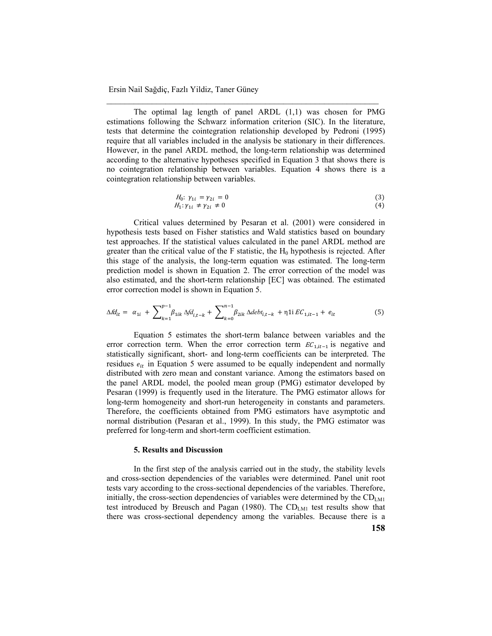The optimal lag length of panel ARDL (1,1) was chosen for PMG estimations following the Schwarz information criterion (SIC). In the literature, tests that determine the cointegration relationship developed by Pedroni (1995) require that all variables included in the analysis be stationary in their differences. However, in the panel ARDL method, the long-term relationship was determined according to the alternative hypotheses specified in Equation 3 that shows there is no cointegration relationship between variables. Equation 4 shows there is a cointegration relationship between variables.

\_\_\_\_\_\_\_\_\_\_\_\_\_\_\_\_\_\_\_\_\_\_\_\_\_\_\_\_\_\_\_\_\_\_\_\_\_\_\_\_\_\_\_\_\_\_\_\_\_\_\_\_\_\_\_\_\_\_\_\_

$$
H_0: \gamma_{1i} = \gamma_{2i} = 0
$$
  
\n
$$
H_1: \gamma_{1i} \neq \gamma_{2i} \neq 0
$$
\n(3)

Critical values determined by Pesaran et al. (2001) were considered in hypothesis tests based on Fisher statistics and Wald statistics based on boundary test approaches. If the statistical values calculated in the panel ARDL method are greater than the critical value of the F statistic, the  $H_0$  hypothesis is rejected. After this stage of the analysis, the long-term equation was estimated. The long-term prediction model is shown in Equation 2. The error correction of the model was also estimated, and the short-term relationship [EC] was obtained. The estimated error correction model is shown in Equation 5.

$$
\Delta f d_{it} = \alpha_{1i} + \sum_{k=1}^{p-1} \beta_{1ik} \Delta f d_{i,t-k} + \sum_{k=0}^{n-1} \beta_{2ik} \Delta debt_{i,t-k} + \eta \Delta f E_{1,it-1} + e_{it}
$$
(5)

Equation 5 estimates the short-term balance between variables and the error correction term. When the error correction term  $EC_{1, it-1}$  is negative and statistically significant, short- and long-term coefficients can be interpreted. The residues  $e_{it}$  in Equation 5 were assumed to be equally independent and normally distributed with zero mean and constant variance. Among the estimators based on the panel ARDL model, the pooled mean group (PMG) estimator developed by Pesaran (1999) is frequently used in the literature. The PMG estimator allows for long-term homogeneity and short-run heterogeneity in constants and parameters. Therefore, the coefficients obtained from PMG estimators have asymptotic and normal distribution (Pesaran et al., 1999). In this study, the PMG estimator was preferred for long-term and short-term coefficient estimation.

### **5. Results and Discussion**

In the first step of the analysis carried out in the study, the stability levels and cross-section dependencies of the variables were determined. Panel unit root tests vary according to the cross-sectional dependencies of the variables. Therefore, initially, the cross-section dependencies of variables were determined by the  $CD<sub>LM1</sub>$ test introduced by Breusch and Pagan (1980). The  $CD<sub>LM1</sub>$  test results show that there was cross-sectional dependency among the variables. Because there is a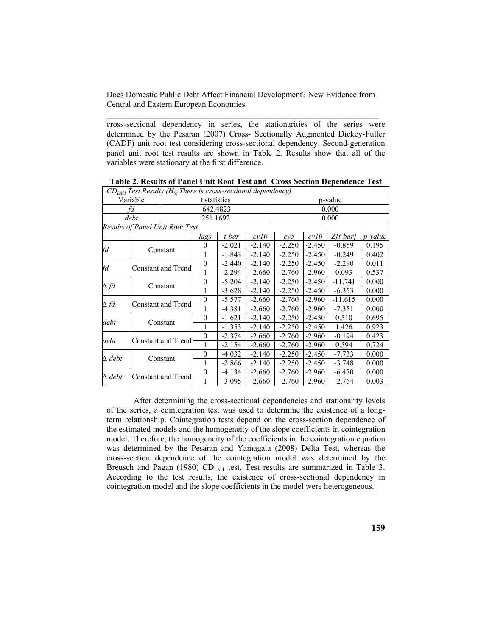cross-sectional dependency in series, the stationarities of the series were determined by the Pesaran (2007) Cross- Sectionally Augmented Dickey-Fuller (CADF) unit root test considering cross-sectional dependency. Second-generation panel unit root test results are shown in Table 2. Results show that all of the variables were stationary at the first difference.

|               |                           | $CD_{LMI}$ Test Results (H <sub>0</sub> There is cross-sectional dependency) |              |          |          |          |          |             |                 |
|---------------|---------------------------|------------------------------------------------------------------------------|--------------|----------|----------|----------|----------|-------------|-----------------|
| Variable      |                           | t statistics                                                                 |              |          | p-value  |          |          |             |                 |
| fd            |                           | 642.4823                                                                     |              |          | 0.000    |          |          |             |                 |
| debt          |                           | 251.1692                                                                     |              |          | 0.000    |          |          |             |                 |
|               |                           | <b>Results of Panel Unit Root Test</b>                                       |              |          |          |          |          |             |                 |
|               |                           |                                                                              | lags         | t-bar    | cvl0     | c v 5    | cvl0     | $Z/t$ -bar] | <i>p</i> -value |
| fd            | Constant                  |                                                                              | $\theta$     | $-2.021$ | $-2.140$ | $-2.250$ | $-2.450$ | $-0.859$    | 0.195           |
|               |                           |                                                                              | 1            | $-1.843$ | $-2.140$ | $-2.250$ | $-2.450$ | $-0.249$    | 0.402           |
| fd            | Constant and Trend        |                                                                              | $\theta$     | $-2.440$ | $-2.140$ | $-2.250$ | $-2.450$ | $-2.290$    | 0.011           |
|               |                           |                                                                              | 1            | $-2.294$ | $-2.660$ | $-2.760$ | $-2.960$ | 0.093       | 0.537           |
| $\Delta f d$  | Constant                  |                                                                              | $\theta$     | $-5.204$ | $-2.140$ | $-2.250$ | $-2.450$ | $-11.741$   | 0.000           |
|               |                           |                                                                              | 1            | $-3.628$ | $-2.140$ | $-2.250$ | $-2.450$ | $-6.353$    | 0.000           |
| $\Delta f d$  | Constant and Trend        |                                                                              | $\theta$     | -5.577   | $-2.660$ | $-2.760$ | $-2.960$ | $-11.615$   | 0.000           |
|               |                           |                                                                              |              | $-4.381$ | $-2.660$ | $-2.760$ | $-2.960$ | $-7.351$    | 0.000           |
| debt          | Constant                  |                                                                              | $\theta$     | $-1.621$ | $-2.140$ | $-2.250$ | $-2.450$ | 0.510       | 0.695           |
|               |                           |                                                                              | 1            | $-1.353$ | $-2.140$ | $-2.250$ | $-2.450$ | 1.426       | 0.923           |
| debt          | <b>Constant and Trend</b> |                                                                              | $\theta$     | $-2.374$ | $-2.660$ | $-2.760$ | $-2.960$ | $-0.194$    | 0.423           |
|               |                           |                                                                              |              | $-2.154$ | $-2.660$ | $-2.760$ | $-2.960$ | 0.594       | 0.724           |
| $\Delta$ debt | Constant                  |                                                                              | $\mathbf{0}$ | $-4.032$ | $-2.140$ | $-2.250$ | $-2.450$ | $-7.733$    | 0.000           |
|               |                           |                                                                              | 1            | $-2.866$ | $-2.140$ | $-2.250$ | $-2.450$ | $-3.748$    | 0.000           |
| $\Delta$ debt | Constant and Trend        |                                                                              | $\theta$     | $-4.134$ | $-2.660$ | $-2.760$ | $-2.960$ | $-6.470$    | 0.000           |
|               |                           |                                                                              | 1            | $-3.095$ | $-2.660$ | $-2.760$ | $-2.960$ | $-2.764$    | 0.003           |

**Table 2. Results of Panel Unit Root Test and Cross Section Dependence Test** 

After determining the cross-sectional dependencies and stationarity levels of the series, a cointegration test was used to determine the existence of a longterm relationship. Cointegration tests depend on the cross-section dependence of the estimated models and the homogeneity of the slope coefficients in cointegration model. Therefore, the homogeneity of the coefficients in the cointegration equation was determined by the Pesaran and Yamagata (2008) Delta Test, whereas the cross-section dependence of the cointegration model was determined by the Breusch and Pagan (1980) CD<sub>LM1</sub> test. Test results are summarized in Table 3. According to the test results, the existence of cross-sectional dependency in cointegration model and the slope coefficients in the model were heterogeneous.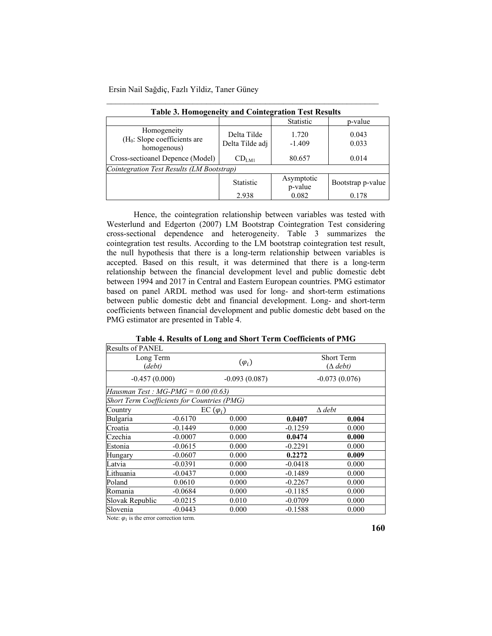| <b>Table 3. Homogeneity and Cointegration Test Results</b>  |                                |                       |                   |  |  |
|-------------------------------------------------------------|--------------------------------|-----------------------|-------------------|--|--|
|                                                             |                                | <b>Statistic</b>      | p-value           |  |  |
| Homogeneity<br>$(H0: Slope coefficients are$<br>homogenous) | Delta Tilde<br>Delta Tilde adj | 1.720<br>$-1.409$     | 0.043<br>0.033    |  |  |
| Cross-sectioanel Depence (Model)                            | $CD_{LMI}$                     | 80.657                | 0.014             |  |  |
| Cointegration Test Results (LM Bootstrap)                   |                                |                       |                   |  |  |
|                                                             | <b>Statistic</b>               | Asymptotic<br>p-value | Bootstrap p-value |  |  |
|                                                             | 2.938                          | 0.082                 | 0.178             |  |  |

\_\_\_\_\_\_\_\_\_\_\_\_\_\_\_\_\_\_\_\_\_\_\_\_\_\_\_\_\_\_\_\_\_\_\_\_\_\_\_\_\_\_\_\_\_\_\_\_\_\_\_\_\_\_\_\_\_\_\_\_

Hence, the cointegration relationship between variables was tested with Westerlund and Edgerton (2007) LM Bootstrap Cointegration Test considering cross-sectional dependence and heterogeneity. Table 3 summarizes the cointegration test results. According to the LM bootstrap cointegration test result, the null hypothesis that there is a long-term relationship between variables is accepted. Based on this result, it was determined that there is a long-term relationship between the financial development level and public domestic debt between 1994 and 2017 in Central and Eastern European countries. PMG estimator based on panel ARDL method was used for long- and short-term estimations between public domestic debt and financial development. Long- and short-term coefficients between financial development and public domestic debt based on the PMG estimator are presented in Table 4.

| Table 7. Results of Equip and Short Term Coemetents of Figure |                  |                 |                                      |       |  |  |  |
|---------------------------------------------------------------|------------------|-----------------|--------------------------------------|-------|--|--|--|
| <b>Results of PANEL</b>                                       |                  |                 |                                      |       |  |  |  |
| Long Term<br>(debt)                                           |                  | $(\varphi_i)$   | <b>Short Term</b><br>$(\Delta$ debt) |       |  |  |  |
| $-0.457(0.000)$                                               |                  | $-0.093(0.087)$ | $-0.073(0.076)$                      |       |  |  |  |
| Hausman Test: $MG\text{-}PMG = 0.00$ (0.63)                   |                  |                 |                                      |       |  |  |  |
| <b>Short Term Coefficients for Countries (PMG)</b>            |                  |                 |                                      |       |  |  |  |
| Country                                                       | EC $(\varphi_i)$ |                 | $\Delta$ debt                        |       |  |  |  |
| Bulgaria                                                      | $-0.6170$        | 0.000           | 0.0407                               | 0.004 |  |  |  |
| Croatia                                                       | $-0.1449$        | 0.000           | $-0.1259$                            | 0.000 |  |  |  |
| Czechia                                                       | $-0.0007$        | 0.000           | 0.0474                               | 0.000 |  |  |  |
| Estonia                                                       | $-0.0615$        | 0.000           | $-0.2291$                            | 0.000 |  |  |  |
| Hungary                                                       | $-0.0607$        | 0.000           | 0.2272                               | 0.009 |  |  |  |
| Latvia                                                        | $-0.0391$        | 0.000           | $-0.0418$                            | 0.000 |  |  |  |
| Lithuania                                                     | $-0.0437$        | 0.000           | $-0.1489$                            | 0.000 |  |  |  |
| Poland                                                        | 0.0610           | 0.000           | $-0.2267$                            | 0.000 |  |  |  |
| Romania                                                       | $-0.0684$        | 0.000           | $-0.1185$                            | 0.000 |  |  |  |
| Slovak Republic                                               | $-0.0215$        | 0.010           | $-0.0709$                            | 0.000 |  |  |  |
| Slovenia                                                      | $-0.0443$        | 0.000           | $-0.1588$                            | 0.000 |  |  |  |

**Table 4. Results of Long and Short Term Coefficients of PMG** 

Note:  $\varphi_i$  is the error correction term.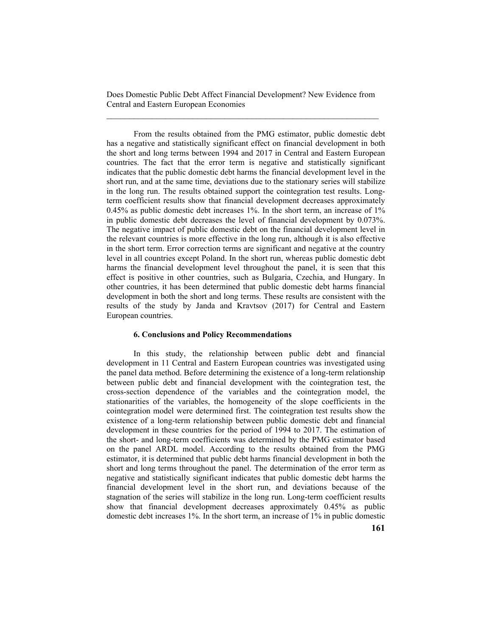From the results obtained from the PMG estimator, public domestic debt has a negative and statistically significant effect on financial development in both the short and long terms between 1994 and 2017 in Central and Eastern European countries. The fact that the error term is negative and statistically significant indicates that the public domestic debt harms the financial development level in the short run, and at the same time, deviations due to the stationary series will stabilize in the long run. The results obtained support the cointegration test results. Longterm coefficient results show that financial development decreases approximately 0.45% as public domestic debt increases 1%. In the short term, an increase of 1% in public domestic debt decreases the level of financial development by 0.073%. The negative impact of public domestic debt on the financial development level in the relevant countries is more effective in the long run, although it is also effective in the short term. Error correction terms are significant and negative at the country level in all countries except Poland. In the short run, whereas public domestic debt harms the financial development level throughout the panel, it is seen that this effect is positive in other countries, such as Bulgaria, Czechia, and Hungary. In other countries, it has been determined that public domestic debt harms financial development in both the short and long terms. These results are consistent with the results of the study by Janda and Kravtsov (2017) for Central and Eastern European countries.

#### **6. Conclusions and Policy Recommendations**

In this study, the relationship between public debt and financial development in 11 Central and Eastern European countries was investigated using the panel data method. Before determining the existence of a long-term relationship between public debt and financial development with the cointegration test, the cross-section dependence of the variables and the cointegration model, the stationarities of the variables, the homogeneity of the slope coefficients in the cointegration model were determined first. The cointegration test results show the existence of a long-term relationship between public domestic debt and financial development in these countries for the period of 1994 to 2017. The estimation of the short- and long-term coefficients was determined by the PMG estimator based on the panel ARDL model. According to the results obtained from the PMG estimator, it is determined that public debt harms financial development in both the short and long terms throughout the panel. The determination of the error term as negative and statistically significant indicates that public domestic debt harms the financial development level in the short run, and deviations because of the stagnation of the series will stabilize in the long run. Long-term coefficient results show that financial development decreases approximately 0.45% as public domestic debt increases 1%. In the short term, an increase of 1% in public domestic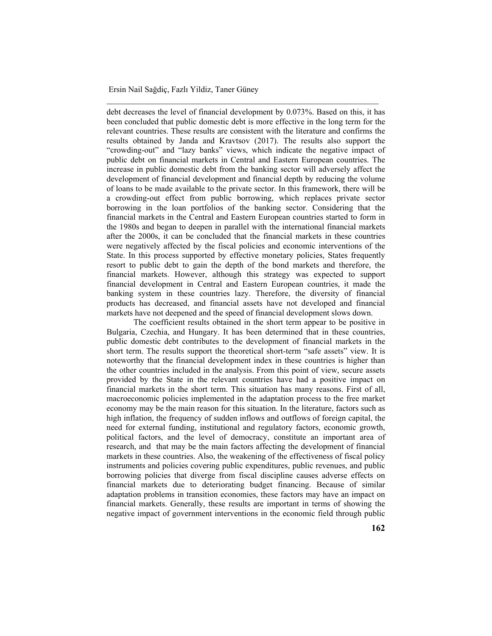debt decreases the level of financial development by 0.073%. Based on this, it has been concluded that public domestic debt is more effective in the long term for the relevant countries. These results are consistent with the literature and confirms the results obtained by Janda and Kravtsov (2017). The results also support the "crowding-out" and "lazy banks" views, which indicate the negative impact of public debt on financial markets in Central and Eastern European countries. The increase in public domestic debt from the banking sector will adversely affect the development of financial development and financial depth by reducing the volume of loans to be made available to the private sector. In this framework, there will be a crowding-out effect from public borrowing, which replaces private sector borrowing in the loan portfolios of the banking sector. Considering that the financial markets in the Central and Eastern European countries started to form in the 1980s and began to deepen in parallel with the international financial markets after the 2000s, it can be concluded that the financial markets in these countries were negatively affected by the fiscal policies and economic interventions of the State. In this process supported by effective monetary policies, States frequently resort to public debt to gain the depth of the bond markets and therefore, the financial markets. However, although this strategy was expected to support financial development in Central and Eastern European countries, it made the banking system in these countries lazy. Therefore, the diversity of financial products has decreased, and financial assets have not developed and financial markets have not deepened and the speed of financial development slows down.

\_\_\_\_\_\_\_\_\_\_\_\_\_\_\_\_\_\_\_\_\_\_\_\_\_\_\_\_\_\_\_\_\_\_\_\_\_\_\_\_\_\_\_\_\_\_\_\_\_\_\_\_\_\_\_\_\_\_\_\_

The coefficient results obtained in the short term appear to be positive in Bulgaria, Czechia, and Hungary. It has been determined that in these countries, public domestic debt contributes to the development of financial markets in the short term. The results support the theoretical short-term "safe assets" view. It is noteworthy that the financial development index in these countries is higher than the other countries included in the analysis. From this point of view, secure assets provided by the State in the relevant countries have had a positive impact on financial markets in the short term. This situation has many reasons. First of all, macroeconomic policies implemented in the adaptation process to the free market economy may be the main reason for this situation. In the literature, factors such as high inflation, the frequency of sudden inflows and outflows of foreign capital, the need for external funding, institutional and regulatory factors, economic growth, political factors, and the level of democracy, constitute an important area of research, and that may be the main factors affecting the development of financial markets in these countries. Also, the weakening of the effectiveness of fiscal policy instruments and policies covering public expenditures, public revenues, and public borrowing policies that diverge from fiscal discipline causes adverse effects on financial markets due to deteriorating budget financing. Because of similar adaptation problems in transition economies, these factors may have an impact on financial markets. Generally, these results are important in terms of showing the negative impact of government interventions in the economic field through public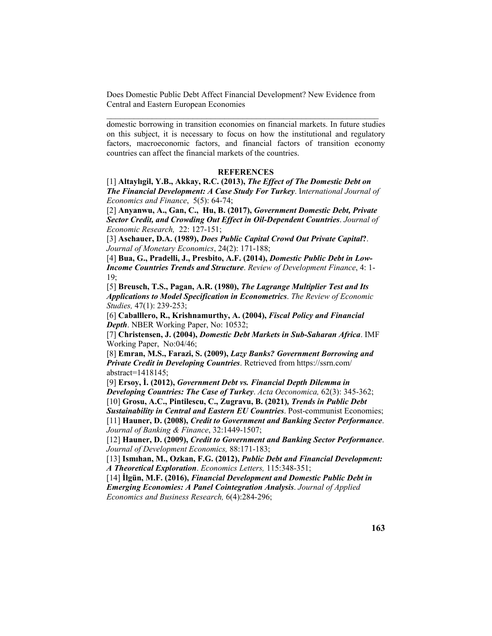domestic borrowing in transition economies on financial markets. In future studies on this subject, it is necessary to focus on how the institutional and regulatory factors, macroeconomic factors, and financial factors of transition economy countries can affect the financial markets of the countries.

# **REFERENCES**

[1] **Altaylıgil, Y.B., Akkay, R.C. (2013),** *The Effect of The Domestic Debt on The Financial Development: A Case Study For Turkey*. I*nternational Journal of Economics and Finance*, 5(5): 64-74;

[2] **Anyanwu, A., Gan, C., Hu, B. (2017),** *Government Domestic Debt, Private Sector Credit, and Crowding Out Effect in Oil-Dependent Countries*. *Journal of Economic Research,* 22: 127-151;

[3] **Aschauer, D.A. (1989),** *Does Public Capital Crowd Out Private Capital***?**. *Journal of Monetary Economics*, 24(2): 171-188;

[4] **Bua, G., Pradelli, J., Presbito, A.F. (2014),** *Domestic Public Debt in Low-Income Countries Trends and Structure*. *Review of Development Finance*, 4: 1- 19;

[5] **Breusch, T.S., Pagan, A.R. (1980),** *The Lagrange Multiplier Test and Its Applications to Model Specification in Econometrics*. *The Review of Economic Studies,* 47(1): 239-253;

[6] **Caballlero, R., Krishnamurthy, A. (2004),** *Fiscal Policy and Financial Depth*. NBER Working Paper, No: 10532;

[7] **Christensen, J. (2004),** *Domestic Debt Markets in Sub-Saharan Africa*. IMF Working Paper, No:04/46;

[8] **Emran, M.S., Farazi, S. (2009),** *Lazy Banks? Government Borrowing and Private Credit in Developing Countries*. Retrieved from https://ssrn.com/ abstract=1418145;

[9] **Ersoy, İ. (2012),** *Government Debt vs. Financial Depth Dilemma in Developing Countries: The Case of Turkey*. *Acta Oeconomica,* 62(3): 345-362; [10] **Grosu, A.C., Pintilescu, C., Zugravu, B. (2021)***, Trends in Public Debt* 

*Sustainability in Central and Eastern EU Countries*. Post-communist Economies; [11] **Hauner, D. (2008),** *Credit to Government and Banking Sector Performance*. *Journal of Banking & Finance*, 32:1449-1507;

[12] **Hauner, D. (2009),** *Credit to Government and Banking Sector Performance*. *Journal of Development Economics,* 88:171-183;

[13] **Ismıhan, M., Ozkan, F.G. (2012),** *Public Debt and Financial Development: A Theoretical Exploration*. *Economics Letters,* 115:348-351;

[14] **İlgün, M.F. (2016),** *Financial Development and Domestic Public Debt in Emerging Economies: A Panel Cointegration Analysis*. *Journal of Applied Economics and Business Research,* 6(4):284-296;